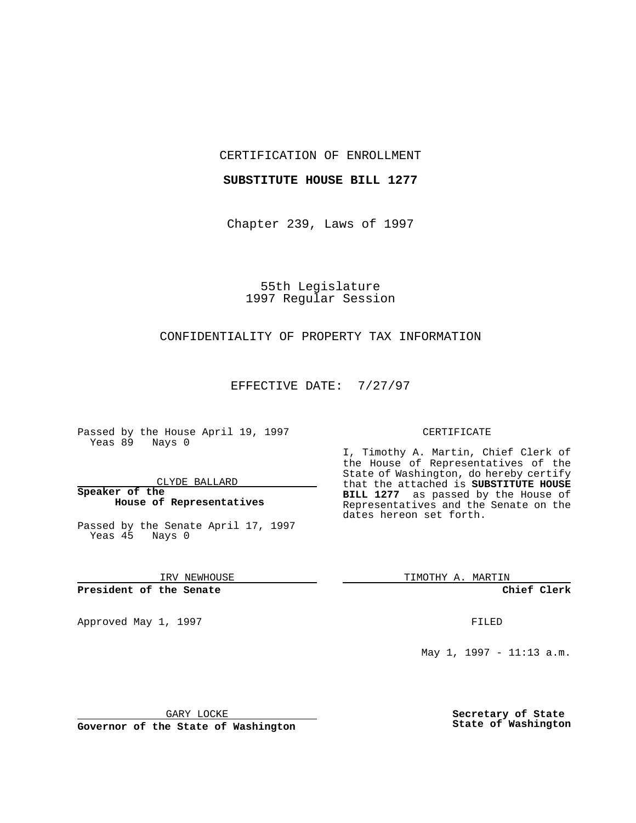### CERTIFICATION OF ENROLLMENT

## **SUBSTITUTE HOUSE BILL 1277**

Chapter 239, Laws of 1997

# 55th Legislature 1997 Regular Session

# CONFIDENTIALITY OF PROPERTY TAX INFORMATION

### EFFECTIVE DATE: 7/27/97

Passed by the House April 19, 1997 Yeas 89 Nays 0

#### CLYDE BALLARD

## **Speaker of the House of Representatives**

Passed by the Senate April 17, 1997 Yeas 45 Nays 0

IRV NEWHOUSE

**President of the Senate**

Approved May 1, 1997 **FILED** 

#### CERTIFICATE

I, Timothy A. Martin, Chief Clerk of the House of Representatives of the State of Washington, do hereby certify that the attached is **SUBSTITUTE HOUSE BILL 1277** as passed by the House of Representatives and the Senate on the dates hereon set forth.

TIMOTHY A. MARTIN

**Chief Clerk**

May 1, 1997 - 11:13 a.m.

GARY LOCKE

**Governor of the State of Washington**

**Secretary of State State of Washington**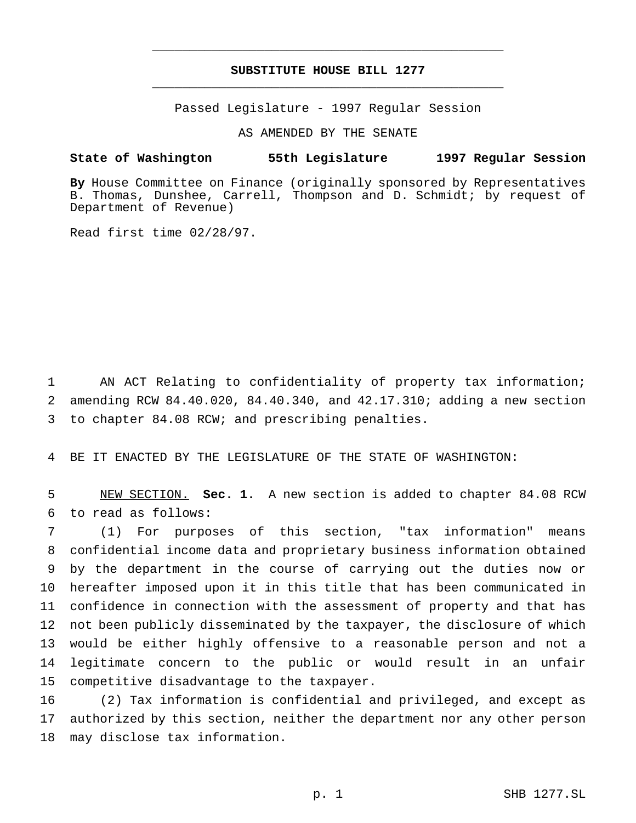# **SUBSTITUTE HOUSE BILL 1277** \_\_\_\_\_\_\_\_\_\_\_\_\_\_\_\_\_\_\_\_\_\_\_\_\_\_\_\_\_\_\_\_\_\_\_\_\_\_\_\_\_\_\_\_\_\_\_

\_\_\_\_\_\_\_\_\_\_\_\_\_\_\_\_\_\_\_\_\_\_\_\_\_\_\_\_\_\_\_\_\_\_\_\_\_\_\_\_\_\_\_\_\_\_\_

Passed Legislature - 1997 Regular Session

AS AMENDED BY THE SENATE

### **State of Washington 55th Legislature 1997 Regular Session**

**By** House Committee on Finance (originally sponsored by Representatives B. Thomas, Dunshee, Carrell, Thompson and D. Schmidt; by request of Department of Revenue)

Read first time 02/28/97.

 AN ACT Relating to confidentiality of property tax information; amending RCW 84.40.020, 84.40.340, and 42.17.310; adding a new section to chapter 84.08 RCW; and prescribing penalties.

BE IT ENACTED BY THE LEGISLATURE OF THE STATE OF WASHINGTON:

 NEW SECTION. **Sec. 1.** A new section is added to chapter 84.08 RCW to read as follows:

 (1) For purposes of this section, "tax information" means confidential income data and proprietary business information obtained by the department in the course of carrying out the duties now or hereafter imposed upon it in this title that has been communicated in confidence in connection with the assessment of property and that has not been publicly disseminated by the taxpayer, the disclosure of which would be either highly offensive to a reasonable person and not a legitimate concern to the public or would result in an unfair competitive disadvantage to the taxpayer.

 (2) Tax information is confidential and privileged, and except as authorized by this section, neither the department nor any other person may disclose tax information.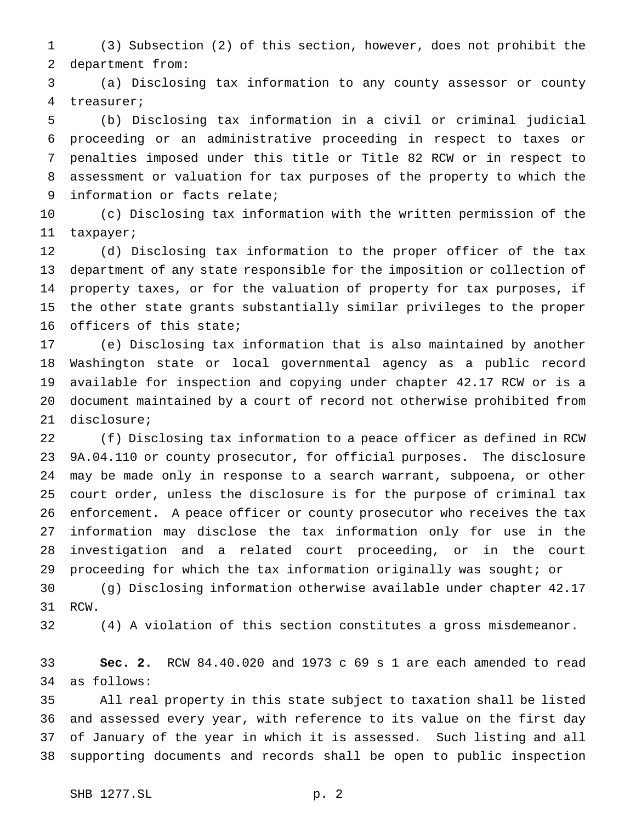(3) Subsection (2) of this section, however, does not prohibit the department from:

 (a) Disclosing tax information to any county assessor or county treasurer;

 (b) Disclosing tax information in a civil or criminal judicial proceeding or an administrative proceeding in respect to taxes or penalties imposed under this title or Title 82 RCW or in respect to assessment or valuation for tax purposes of the property to which the information or facts relate;

 (c) Disclosing tax information with the written permission of the taxpayer;

 (d) Disclosing tax information to the proper officer of the tax department of any state responsible for the imposition or collection of property taxes, or for the valuation of property for tax purposes, if the other state grants substantially similar privileges to the proper officers of this state;

 (e) Disclosing tax information that is also maintained by another Washington state or local governmental agency as a public record available for inspection and copying under chapter 42.17 RCW or is a document maintained by a court of record not otherwise prohibited from disclosure;

 (f) Disclosing tax information to a peace officer as defined in RCW 9A.04.110 or county prosecutor, for official purposes. The disclosure may be made only in response to a search warrant, subpoena, or other court order, unless the disclosure is for the purpose of criminal tax enforcement. A peace officer or county prosecutor who receives the tax information may disclose the tax information only for use in the investigation and a related court proceeding, or in the court proceeding for which the tax information originally was sought; or

 (g) Disclosing information otherwise available under chapter 42.17 RCW.

(4) A violation of this section constitutes a gross misdemeanor.

 **Sec. 2.** RCW 84.40.020 and 1973 c 69 s 1 are each amended to read as follows:

 All real property in this state subject to taxation shall be listed and assessed every year, with reference to its value on the first day of January of the year in which it is assessed. Such listing and all supporting documents and records shall be open to public inspection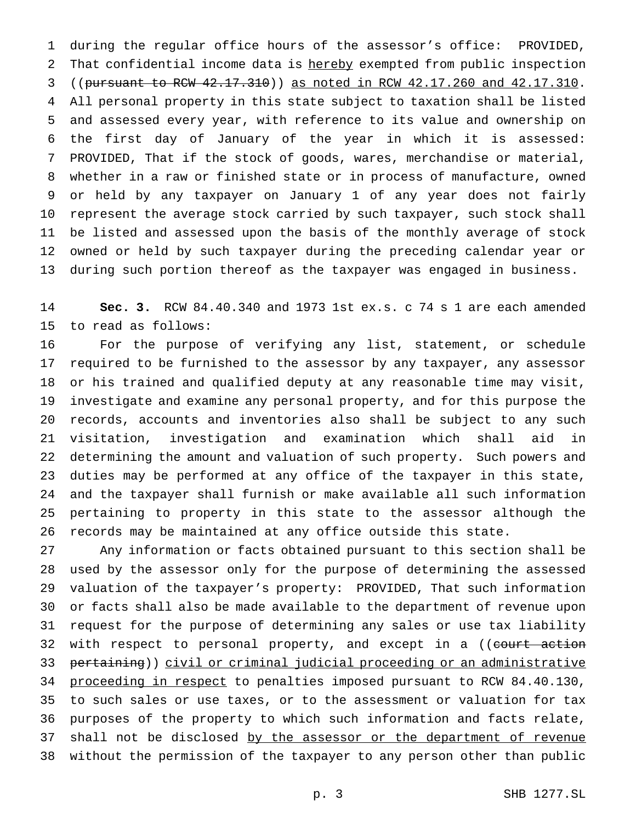during the regular office hours of the assessor's office: PROVIDED, 2 That confidential income data is hereby exempted from public inspection ((pursuant to RCW 42.17.310)) as noted in RCW 42.17.260 and 42.17.310. All personal property in this state subject to taxation shall be listed and assessed every year, with reference to its value and ownership on the first day of January of the year in which it is assessed: PROVIDED, That if the stock of goods, wares, merchandise or material, whether in a raw or finished state or in process of manufacture, owned or held by any taxpayer on January 1 of any year does not fairly represent the average stock carried by such taxpayer, such stock shall be listed and assessed upon the basis of the monthly average of stock owned or held by such taxpayer during the preceding calendar year or during such portion thereof as the taxpayer was engaged in business.

 **Sec. 3.** RCW 84.40.340 and 1973 1st ex.s. c 74 s 1 are each amended to read as follows:

 For the purpose of verifying any list, statement, or schedule required to be furnished to the assessor by any taxpayer, any assessor or his trained and qualified deputy at any reasonable time may visit, investigate and examine any personal property, and for this purpose the records, accounts and inventories also shall be subject to any such visitation, investigation and examination which shall aid in determining the amount and valuation of such property. Such powers and duties may be performed at any office of the taxpayer in this state, and the taxpayer shall furnish or make available all such information pertaining to property in this state to the assessor although the records may be maintained at any office outside this state.

 Any information or facts obtained pursuant to this section shall be used by the assessor only for the purpose of determining the assessed valuation of the taxpayer's property: PROVIDED, That such information or facts shall also be made available to the department of revenue upon request for the purpose of determining any sales or use tax liability 32 with respect to personal property, and except in a ((court action 33 pertaining)) civil or criminal judicial proceeding or an administrative 34 proceeding in respect to penalties imposed pursuant to RCW 84.40.130, to such sales or use taxes, or to the assessment or valuation for tax purposes of the property to which such information and facts relate, 37 shall not be disclosed by the assessor or the department of revenue without the permission of the taxpayer to any person other than public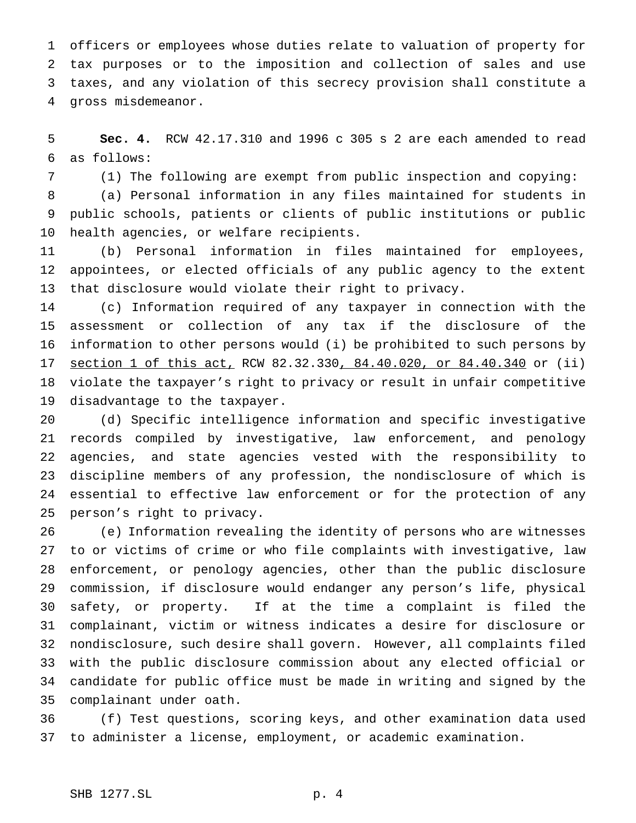officers or employees whose duties relate to valuation of property for tax purposes or to the imposition and collection of sales and use taxes, and any violation of this secrecy provision shall constitute a gross misdemeanor.

 **Sec. 4.** RCW 42.17.310 and 1996 c 305 s 2 are each amended to read as follows:

(1) The following are exempt from public inspection and copying:

 (a) Personal information in any files maintained for students in public schools, patients or clients of public institutions or public health agencies, or welfare recipients.

 (b) Personal information in files maintained for employees, appointees, or elected officials of any public agency to the extent that disclosure would violate their right to privacy.

 (c) Information required of any taxpayer in connection with the assessment or collection of any tax if the disclosure of the information to other persons would (i) be prohibited to such persons by section 1 of this act, RCW 82.32.330, 84.40.020, or 84.40.340 or (ii) violate the taxpayer's right to privacy or result in unfair competitive disadvantage to the taxpayer.

 (d) Specific intelligence information and specific investigative records compiled by investigative, law enforcement, and penology agencies, and state agencies vested with the responsibility to discipline members of any profession, the nondisclosure of which is essential to effective law enforcement or for the protection of any person's right to privacy.

 (e) Information revealing the identity of persons who are witnesses to or victims of crime or who file complaints with investigative, law enforcement, or penology agencies, other than the public disclosure commission, if disclosure would endanger any person's life, physical safety, or property. If at the time a complaint is filed the complainant, victim or witness indicates a desire for disclosure or nondisclosure, such desire shall govern. However, all complaints filed with the public disclosure commission about any elected official or candidate for public office must be made in writing and signed by the complainant under oath.

 (f) Test questions, scoring keys, and other examination data used to administer a license, employment, or academic examination.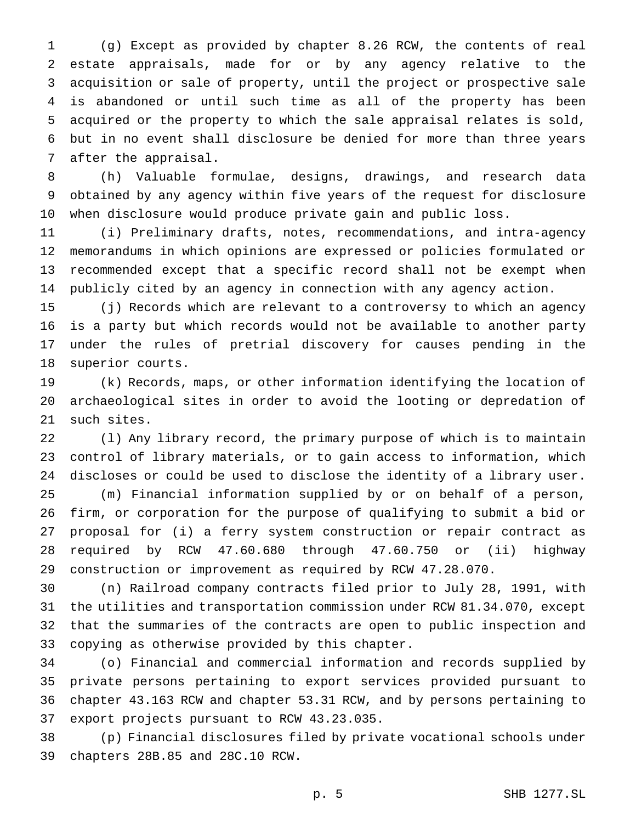(g) Except as provided by chapter 8.26 RCW, the contents of real estate appraisals, made for or by any agency relative to the acquisition or sale of property, until the project or prospective sale is abandoned or until such time as all of the property has been acquired or the property to which the sale appraisal relates is sold, but in no event shall disclosure be denied for more than three years after the appraisal.

 (h) Valuable formulae, designs, drawings, and research data obtained by any agency within five years of the request for disclosure when disclosure would produce private gain and public loss.

 (i) Preliminary drafts, notes, recommendations, and intra-agency memorandums in which opinions are expressed or policies formulated or recommended except that a specific record shall not be exempt when publicly cited by an agency in connection with any agency action.

 (j) Records which are relevant to a controversy to which an agency is a party but which records would not be available to another party under the rules of pretrial discovery for causes pending in the superior courts.

 (k) Records, maps, or other information identifying the location of archaeological sites in order to avoid the looting or depredation of such sites.

 (l) Any library record, the primary purpose of which is to maintain control of library materials, or to gain access to information, which discloses or could be used to disclose the identity of a library user. (m) Financial information supplied by or on behalf of a person, firm, or corporation for the purpose of qualifying to submit a bid or proposal for (i) a ferry system construction or repair contract as required by RCW 47.60.680 through 47.60.750 or (ii) highway construction or improvement as required by RCW 47.28.070.

 (n) Railroad company contracts filed prior to July 28, 1991, with the utilities and transportation commission under RCW 81.34.070, except that the summaries of the contracts are open to public inspection and copying as otherwise provided by this chapter.

 (o) Financial and commercial information and records supplied by private persons pertaining to export services provided pursuant to chapter 43.163 RCW and chapter 53.31 RCW, and by persons pertaining to export projects pursuant to RCW 43.23.035.

 (p) Financial disclosures filed by private vocational schools under chapters 28B.85 and 28C.10 RCW.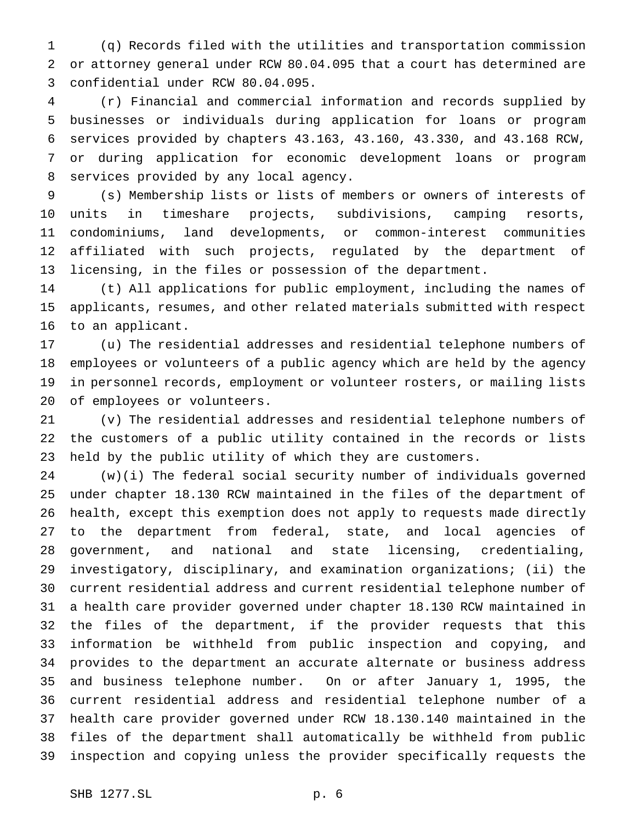(q) Records filed with the utilities and transportation commission or attorney general under RCW 80.04.095 that a court has determined are confidential under RCW 80.04.095.

 (r) Financial and commercial information and records supplied by businesses or individuals during application for loans or program services provided by chapters 43.163, 43.160, 43.330, and 43.168 RCW, or during application for economic development loans or program services provided by any local agency.

 (s) Membership lists or lists of members or owners of interests of units in timeshare projects, subdivisions, camping resorts, condominiums, land developments, or common-interest communities affiliated with such projects, regulated by the department of licensing, in the files or possession of the department.

 (t) All applications for public employment, including the names of applicants, resumes, and other related materials submitted with respect to an applicant.

 (u) The residential addresses and residential telephone numbers of employees or volunteers of a public agency which are held by the agency in personnel records, employment or volunteer rosters, or mailing lists of employees or volunteers.

 (v) The residential addresses and residential telephone numbers of the customers of a public utility contained in the records or lists held by the public utility of which they are customers.

 (w)(i) The federal social security number of individuals governed under chapter 18.130 RCW maintained in the files of the department of health, except this exemption does not apply to requests made directly to the department from federal, state, and local agencies of government, and national and state licensing, credentialing, investigatory, disciplinary, and examination organizations; (ii) the current residential address and current residential telephone number of a health care provider governed under chapter 18.130 RCW maintained in the files of the department, if the provider requests that this information be withheld from public inspection and copying, and provides to the department an accurate alternate or business address and business telephone number. On or after January 1, 1995, the current residential address and residential telephone number of a health care provider governed under RCW 18.130.140 maintained in the files of the department shall automatically be withheld from public inspection and copying unless the provider specifically requests the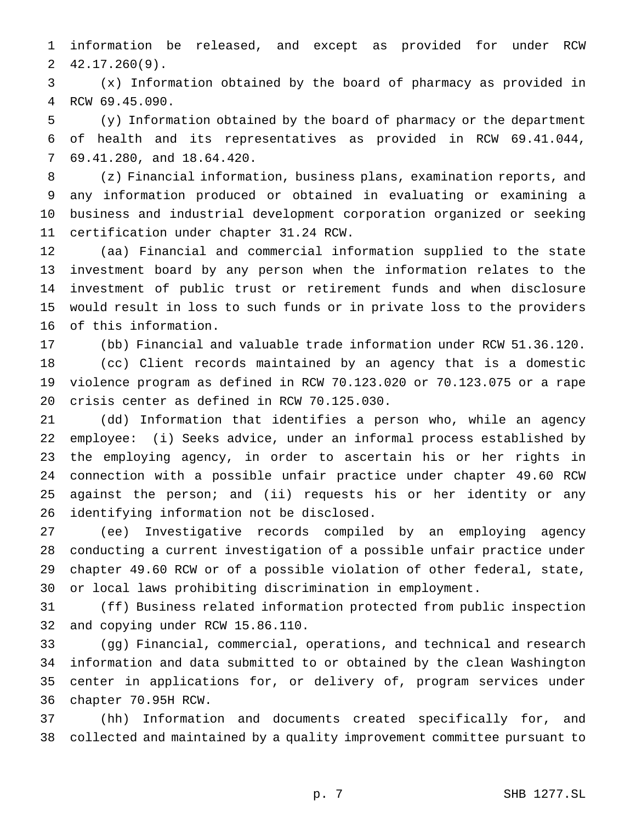information be released, and except as provided for under RCW 42.17.260(9).

 (x) Information obtained by the board of pharmacy as provided in RCW 69.45.090.

 (y) Information obtained by the board of pharmacy or the department of health and its representatives as provided in RCW 69.41.044, 69.41.280, and 18.64.420.

 (z) Financial information, business plans, examination reports, and any information produced or obtained in evaluating or examining a business and industrial development corporation organized or seeking certification under chapter 31.24 RCW.

 (aa) Financial and commercial information supplied to the state investment board by any person when the information relates to the investment of public trust or retirement funds and when disclosure would result in loss to such funds or in private loss to the providers of this information.

 (bb) Financial and valuable trade information under RCW 51.36.120. (cc) Client records maintained by an agency that is a domestic violence program as defined in RCW 70.123.020 or 70.123.075 or a rape crisis center as defined in RCW 70.125.030.

 (dd) Information that identifies a person who, while an agency employee: (i) Seeks advice, under an informal process established by the employing agency, in order to ascertain his or her rights in connection with a possible unfair practice under chapter 49.60 RCW against the person; and (ii) requests his or her identity or any identifying information not be disclosed.

 (ee) Investigative records compiled by an employing agency conducting a current investigation of a possible unfair practice under chapter 49.60 RCW or of a possible violation of other federal, state, or local laws prohibiting discrimination in employment.

 (ff) Business related information protected from public inspection and copying under RCW 15.86.110.

 (gg) Financial, commercial, operations, and technical and research information and data submitted to or obtained by the clean Washington center in applications for, or delivery of, program services under chapter 70.95H RCW.

 (hh) Information and documents created specifically for, and collected and maintained by a quality improvement committee pursuant to